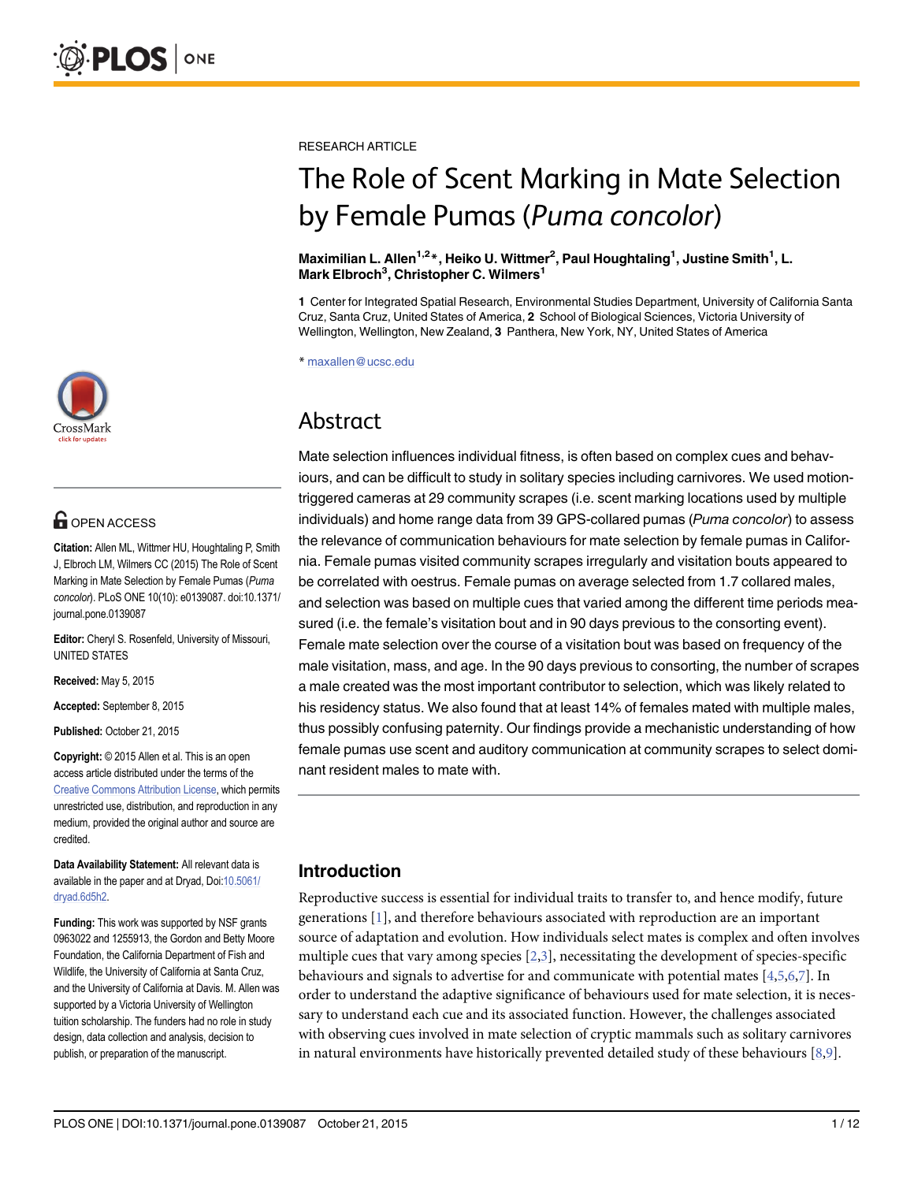

# **OPEN ACCESS**

Citation: Allen ML, Wittmer HU, Houghtaling P, Smith J, Elbroch LM, Wilmers CC (2015) The Role of Scent Marking in Mate Selection by Female Pumas (Puma concolor). PLoS ONE 10(10): e0139087. doi:10.1371/ journal.pone.0139087

Editor: Cheryl S. Rosenfeld, University of Missouri, UNITED STATES

Received: May 5, 2015

Accepted: September 8, 2015

Published: October 21, 2015

Copyright: © 2015 Allen et al. This is an open access article distributed under the terms of the [Creative Commons Attribution License,](http://creativecommons.org/licenses/by/4.0/) which permits unrestricted use, distribution, and reproduction in any medium, provided the original author and source are credited.

Data Availability Statement: All relevant data is available in the paper and at Dryad, Doi:[10.5061/](http://dx.doi.org/10.5061/dryad.6d5h2) [dryad.6d5h2](http://dx.doi.org/10.5061/dryad.6d5h2).

Funding: This work was supported by NSF grants 0963022 and 1255913, the Gordon and Betty Moore Foundation, the California Department of Fish and Wildlife, the University of California at Santa Cruz, and the University of California at Davis. M. Allen was supported by a Victoria University of Wellington tuition scholarship. The funders had no role in study design, data collection and analysis, decision to publish, or preparation of the manuscript.

<span id="page-0-0"></span>RESEARCH ARTICLE

# The Role of Scene Marking in Mate Selection by Female Pumas (Puma concolor)

Maximilian L. Allen<sup>1,2</sup>\*, Heiko U. Wittmer<sup>2</sup>, Paul Houghtaling<sup>1</sup>, Justine Smith<sup>1</sup>, L. Mark Elbroch<sup>3</sup>, Christopher C. Wilmers<sup>1</sup>

1 Center for Integrated Spatial Research, Environmental Studies Department, University of California Santa Cruz, Santa Cruz, United States of America, 2 School of Biological Sciences, Victoria University of Wellington, Wellington, New Zealand, 3 Panthera, New York, NY, United States of America

\* maxallen@ucsc.edu

# Abstract

 $\mathbf{A}$ Mate selection influences individual fitness, is often based on complex cues and behaviours, and can be difficult to study in solitary species including carnivores. We used motiontriggered cameras at 29 community scrapes (i.e. scent marking locations used by multiple individuals) and home range data from 39 GPS-collared pumas (Puma concolor) to assess the relevance of communication behaviours for mate selection by female pumas in California. Female pumas visited community scrapes irregularly and visitation bouts appeared to be correlated with oestrus. Female pumas on average selected from 1.7 collared males, and selection was based on multiple cues that varied among the different time periods measured (i.e. the female's visitation bout and in 90 days previous to the consorting event). Female mate selection over the course of a visitation bout was based on frequency of the male visitation, mass, and age. In the 90 days previous to consorting, the number of scrapes a male created was the most important contributor to selection, which was likely related to his residency status. We also found that at least 14% of females mated with multiple males, thus possibly confusing paternity. Our findings provide a mechanistic understanding of how female pumas use scent and auditory communication at community scrapes to select dominant resident males to mate with.

# Introduction

Reproductive success is essential for individual traits to transfer to, and hence modify, future generations  $[1]$  $[1]$ , and therefore behaviours associated with reproduction are an important source of adaptation and evolution. How individuals select mates is complex and often involves multiple cues that vary among species  $[2,3]$  $[2,3]$ , necessitating the development of species-specific behaviours and signals to advertise for and communicate with potential mates [[4,5,6,7\]](#page-10-0). In order to understand the adaptive significance of behaviours used for mate selection, it is necessary to understand each cue and its associated function. However, the challenges associated with observing cues involved in mate selection of cryptic mammals such as solitary carnivores in natural environments have historically prevented detailed study of these behaviours  $[8,9]$  $[8,9]$ .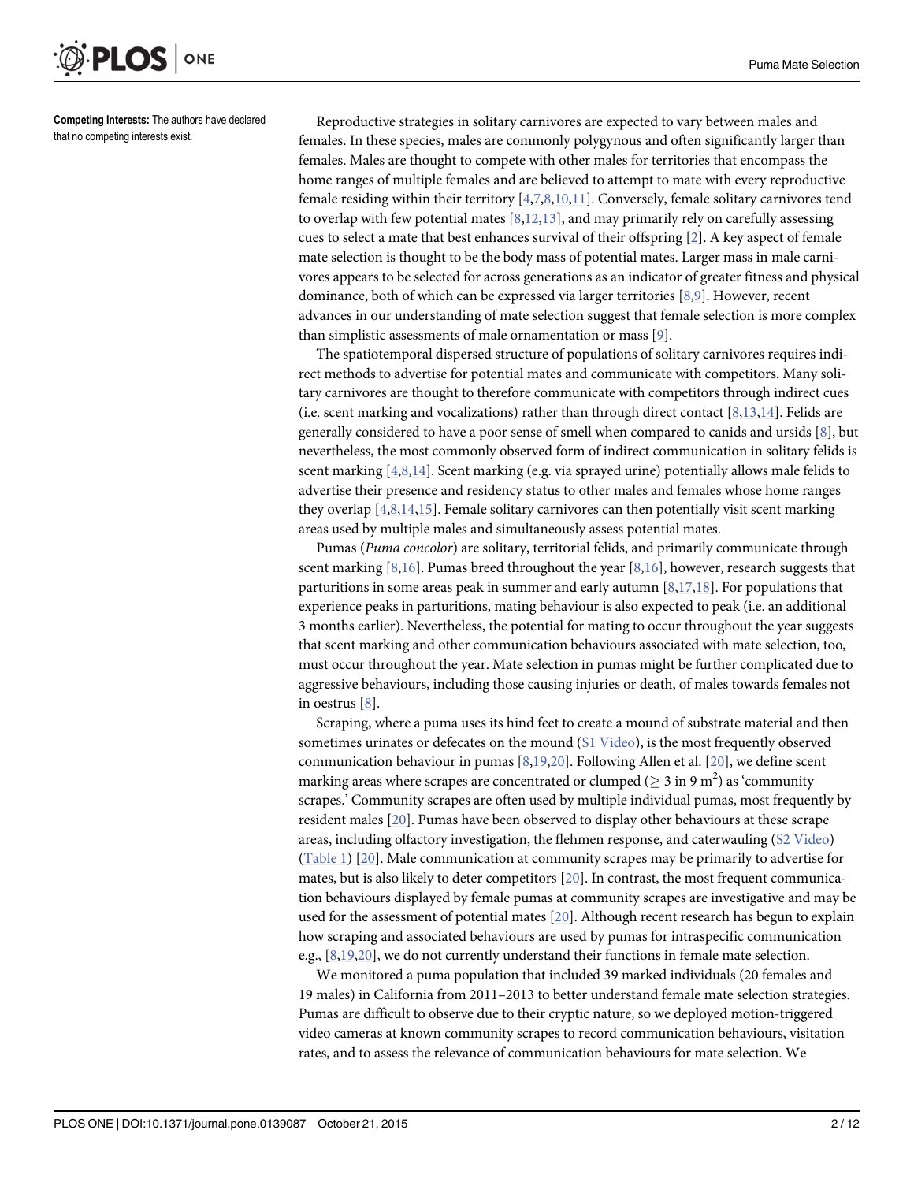<span id="page-1-0"></span>

Competing Interests: The authors have declared that no competing interests exist.

Reproductive strategies in solitary carnivores are expected to vary between males and females. In these species, males are commonly polygynous and often significantly larger than females. Males are thought to compete with other males for territories that encompass the home ranges of multiple females and are believed to attempt to mate with every reproductive female residing within their territory [[4](#page-10-0),[7,8,10,11\]](#page-10-0). Conversely, female solitary carnivores tend to overlap with few potential mates  $[8,12,13]$ , and may primarily rely on carefully assessing cues to select a mate that best enhances survival of their offspring [[2\]](#page-10-0). A key aspect of female mate selection is thought to be the body mass of potential mates. Larger mass in male carnivores appears to be selected for across generations as an indicator of greater fitness and physical dominance, both of which can be expressed via larger territories [\[8,9\]](#page-10-0). However, recent advances in our understanding of mate selection suggest that female selection is more complex than simplistic assessments of male ornamentation or mass [\[9\]](#page-10-0).

The spatiotemporal dispersed structure of populations of solitary carnivores requires indirect methods to advertise for potential mates and communicate with competitors. Many solitary carnivores are thought to therefore communicate with competitors through indirect cues (i.e. scent marking and vocalizations) rather than through direct contact  $[8,13,14]$  $[8,13,14]$  $[8,13,14]$  $[8,13,14]$ . Felids are generally considered to have a poor sense of smell when compared to canids and ursids [\[8](#page-10-0)], but nevertheless, the most commonly observed form of indirect communication in solitary felids is scent marking [[4,8,14\]](#page-10-0). Scent marking (e.g. via sprayed urine) potentially allows male felids to advertise their presence and residency status to other males and females whose home ranges they overlap  $[4,8,14,15]$ . Female solitary carnivores can then potentially visit scent marking areas used by multiple males and simultaneously assess potential mates.

Pumas (Puma concolor) are solitary, territorial felids, and primarily communicate through scent marking  $[8,16]$  $[8,16]$ . Pumas breed throughout the year  $[8,16]$  $[8,16]$  $[8,16]$  $[8,16]$  $[8,16]$ , however, research suggests that parturitions in some areas peak in summer and early autumn [\[8,17,18\]](#page-10-0). For populations that experience peaks in parturitions, mating behaviour is also expected to peak (i.e. an additional 3 months earlier). Nevertheless, the potential for mating to occur throughout the year suggests that scent marking and other communication behaviours associated with mate selection, too, must occur throughout the year. Mate selection in pumas might be further complicated due to aggressive behaviours, including those causing injuries or death, of males towards females not in oestrus [\[8](#page-10-0)].

Scraping, where a puma uses its hind feet to create a mound of substrate material and then sometimes urinates or defecates on the mound ([S1 Video\)](#page-9-0), is the most frequently observed communication behaviour in pumas  $[8,19,20]$  $[8,19,20]$ . Following Allen et al.  $[20]$  $[20]$  $[20]$ , we define scent marking areas where scrapes are concentrated or clumped ( $\geq$  3 in 9 m<sup>2</sup>) as 'community scrapes.' Community scrapes are often used by multiple individual pumas, most frequently by resident males [[20](#page-10-0)]. Pumas have been observed to display other behaviours at these scrape areas, including olfactory investigation, the flehmen response, and caterwauling [\(S2 Video\)](#page-9-0) [\(Table 1\)](#page-2-0) [[20](#page-10-0)]. Male communication at community scrapes may be primarily to advertise for mates, but is also likely to deter competitors [[20](#page-10-0)]. In contrast, the most frequent communication behaviours displayed by female pumas at community scrapes are investigative and may be used for the assessment of potential mates [[20](#page-10-0)]. Although recent research has begun to explain how scraping and associated behaviours are used by pumas for intraspecific communication e.g., [[8,19,20](#page-10-0)], we do not currently understand their functions in female mate selection.

We monitored a puma population that included 39 marked individuals (20 females and 19 males) in California from 2011–2013 to better understand female mate selection strategies. Pumas are difficult to observe due to their cryptic nature, so we deployed motion-triggered video cameras at known community scrapes to record communication behaviours, visitation rates, and to assess the relevance of communication behaviours for mate selection. We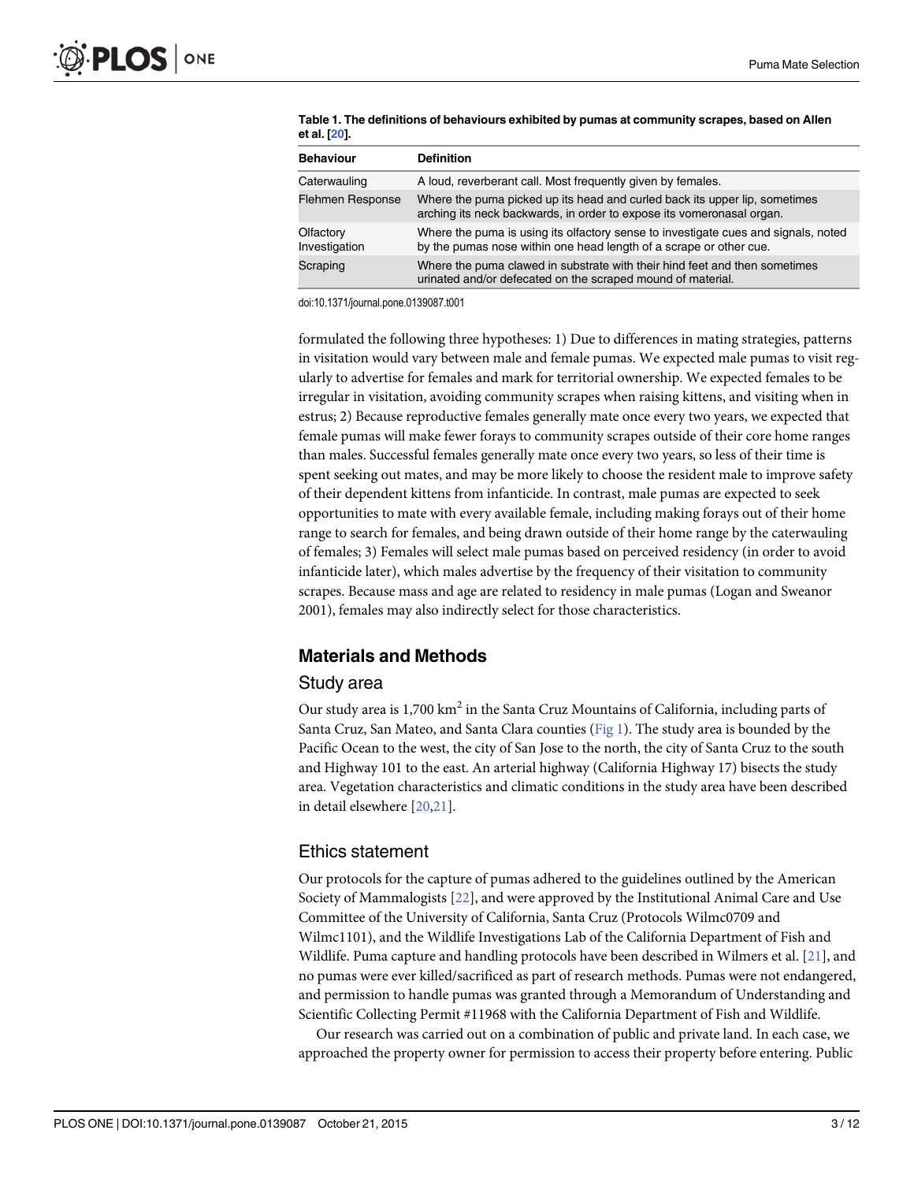| <b>Behaviour</b>           | <b>Definition</b>                                                                                                                                        |  |  |  |  |
|----------------------------|----------------------------------------------------------------------------------------------------------------------------------------------------------|--|--|--|--|
| Caterwauling               | A loud, reverberant call. Most frequently given by females.                                                                                              |  |  |  |  |
| <b>Flehmen Response</b>    | Where the puma picked up its head and curled back its upper lip, sometimes<br>arching its neck backwards, in order to expose its vomeronasal organ.      |  |  |  |  |
| Olfactory<br>Investigation | Where the puma is using its olfactory sense to investigate cues and signals, noted<br>by the pumas nose within one head length of a scrape or other cue. |  |  |  |  |
| Scraping                   | Where the puma clawed in substrate with their hind feet and then sometimes<br>urinated and/or defecated on the scraped mound of material.                |  |  |  |  |

<span id="page-2-0"></span>[Table 1. T](#page-1-0)he definitions of behaviours exhibited by pumas at community scrapes, based on Allen et al. [[20\]](#page-10-0).

doi:10.1371/journal.pone.0139087.t001

formulated the following three hypotheses: 1) Due to differences in mating strategies, patterns in visitation would vary between male and female pumas. We expected male pumas to visit regularly to advertise for females and mark for territorial ownership. We expected females to be irregular in visitation, avoiding community scrapes when raising kittens, and visiting when in estrus; 2) Because reproductive females generally mate once every two years, we expected that female pumas will make fewer forays to community scrapes outside of their core home ranges than males. Successful females generally mate once every two years, so less of their time is spent seeking out mates, and may be more likely to choose the resident male to improve safety of their dependent kittens from infanticide. In contrast, male pumas are expected to seek opportunities to mate with every available female, including making forays out of their home range to search for females, and being drawn outside of their home range by the caterwauling of females; 3) Females will select male pumas based on perceived residency (in order to avoid infanticide later), which males advertise by the frequency of their visitation to community scrapes. Because mass and age are related to residency in male pumas (Logan and Sweanor 2001), females may also indirectly select for those characteristics.

# Materials and Methods

#### Study area

Our study area is  $1,700 \text{ km}^2$  in the Santa Cruz Mountains of California, including parts of Santa Cruz, San Mateo, and Santa Clara counties [\(Fig 1\)](#page-3-0). The study area is bounded by the Pacific Ocean to the west, the city of San Jose to the north, the city of Santa Cruz to the south and Highway 101 to the east. An arterial highway (California Highway 17) bisects the study area. Vegetation characteristics and climatic conditions in the study area have been described in detail elsewhere [[20](#page-10-0)[,21\]](#page-11-0).

# Ethics statement

Our protocols for the capture of pumas adhered to the guidelines outlined by the American Society of Mammalogists [\[22\]](#page-11-0), and were approved by the Institutional Animal Care and Use Committee of the University of California, Santa Cruz (Protocols Wilmc0709 and Wilmc1101), and the Wildlife Investigations Lab of the California Department of Fish and Wildlife. Puma capture and handling protocols have been described in Wilmers et al. [\[21\]](#page-11-0), and no pumas were ever killed/sacrificed as part of research methods. Pumas were not endangered, and permission to handle pumas was granted through a Memorandum of Understanding and Scientific Collecting Permit #11968 with the California Department of Fish and Wildlife.

Our research was carried out on a combination of public and private land. In each case, we approached the property owner for permission to access their property before entering. Public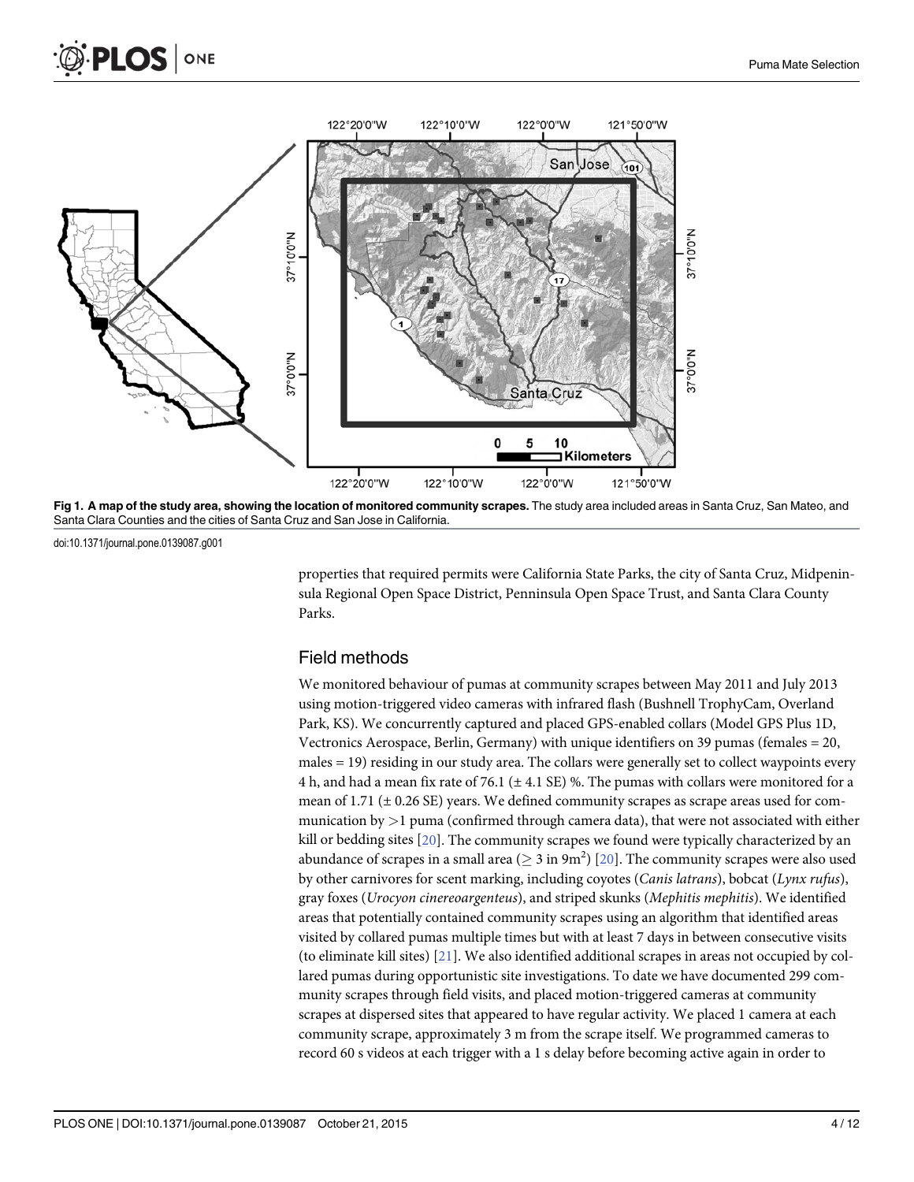<span id="page-3-0"></span>

[Fig 1. A](#page-2-0) map of the study area, showing the location of monitored community scrapes. The study area included areas in Santa Cruz, San Mateo, and Santa Clara Counties and the cities of Santa Cruz and San Jose in California.

doi:10.1371/journal.pone.0139087.g001

properties that required permits were California State Parks, the city of Santa Cruz, Midpeninsula Regional Open Space District, Penninsula Open Space Trust, and Santa Clara County Parks.

# Field methods

We monitored behaviour of pumas at community scrapes between May 2011 and July 2013 using motion-triggered video cameras with infrared flash (Bushnell TrophyCam, Overland Park, KS). We concurrently captured and placed GPS-enabled collars (Model GPS Plus 1D, Vectronics Aerospace, Berlin, Germany) with unique identifiers on 39 pumas (females = 20, males = 19) residing in our study area. The collars were generally set to collect waypoints every 4 h, and had a mean fix rate of 76.1 ( $\pm$  4.1 SE) %. The pumas with collars were monitored for a mean of 1.71 ( $\pm$  0.26 SE) years. We defined community scrapes as scrape areas used for communication by  $>1$  puma (confirmed through camera data), that were not associated with either kill or bedding sites [[20](#page-10-0)]. The community scrapes we found were typically characterized by an abundance of scrapes in a small area ( $\geq$  3 in 9m<sup>2</sup>) [<u>20</u>]. The community scrapes were also used by other carnivores for scent marking, including coyotes (Canis latrans), bobcat (Lynx rufus), gray foxes (Urocyon cinereoargenteus), and striped skunks (Mephitis mephitis). We identified areas that potentially contained community scrapes using an algorithm that identified areas visited by collared pumas multiple times but with at least 7 days in between consecutive visits (to eliminate kill sites)  $[21]$  $[21]$  $[21]$ . We also identified additional scrapes in areas not occupied by collared pumas during opportunistic site investigations. To date we have documented 299 community scrapes through field visits, and placed motion-triggered cameras at community scrapes at dispersed sites that appeared to have regular activity. We placed 1 camera at each community scrape, approximately 3 m from the scrape itself. We programmed cameras to record 60 s videos at each trigger with a 1 s delay before becoming active again in order to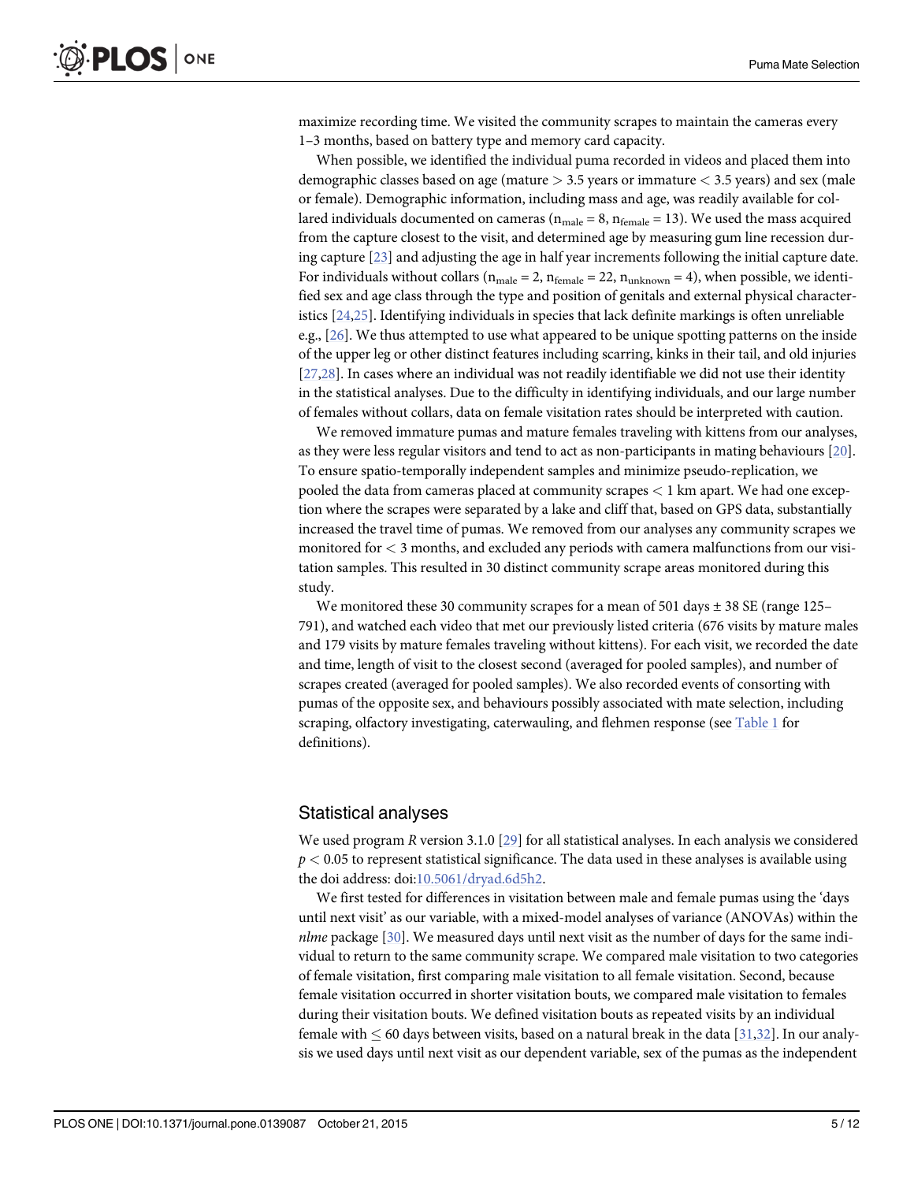<span id="page-4-0"></span>maximize recording time. We visited the community scrapes to maintain the cameras every 1–3 months, based on battery type and memory card capacity.

When possible, we identified the individual puma recorded in videos and placed them into demographic classes based on age (mature > 3.5 years or immature < 3.5 years) and sex (male or female). Demographic information, including mass and age, was readily available for collared individuals documented on cameras ( $n_{male} = 8$ ,  $n_{female} = 13$ ). We used the mass acquired from the capture closest to the visit, and determined age by measuring gum line recession during capture  $[23]$  and adjusting the age in half year increments following the initial capture date. For individuals without collars ( $n_{male} = 2$ ,  $n_{female} = 22$ ,  $n_{unknown} = 4$ ), when possible, we identified sex and age class through the type and position of genitals and external physical characteristics [\[24,25\]](#page-11-0). Identifying individuals in species that lack definite markings is often unreliable e.g.,  $[26]$  $[26]$ . We thus attempted to use what appeared to be unique spotting patterns on the inside of the upper leg or other distinct features including scarring, kinks in their tail, and old injuries [\[27,28\]](#page-11-0). In cases where an individual was not readily identifiable we did not use their identity in the statistical analyses. Due to the difficulty in identifying individuals, and our large number of females without collars, data on female visitation rates should be interpreted with caution.

We removed immature pumas and mature females traveling with kittens from our analyses, as they were less regular visitors and tend to act as non-participants in mating behaviours [\[20\]](#page-10-0). To ensure spatio-temporally independent samples and minimize pseudo-replication, we pooled the data from cameras placed at community scrapes < 1 km apart. We had one exception where the scrapes were separated by a lake and cliff that, based on GPS data, substantially increased the travel time of pumas. We removed from our analyses any community scrapes we monitored for < 3 months, and excluded any periods with camera malfunctions from our visitation samples. This resulted in 30 distinct community scrape areas monitored during this study.

We monitored these 30 community scrapes for a mean of 501 days  $\pm$  38 SE (range 125– 791), and watched each video that met our previously listed criteria (676 visits by mature males and 179 visits by mature females traveling without kittens). For each visit, we recorded the date and time, length of visit to the closest second (averaged for pooled samples), and number of scrapes created (averaged for pooled samples). We also recorded events of consorting with pumas of the opposite sex, and behaviours possibly associated with mate selection, including scraping, olfactory investigating, caterwauling, and flehmen response (see [Table 1](#page-2-0) for definitions).

## Statistical analyses

We used program R version 3.1.0 [\[29\]](#page-11-0) for all statistical analyses. In each analysis we considered  $p < 0.05$  to represent statistical significance. The data used in these analyses is available using the doi address: doi[:10.5061/dryad.6d5h2](http://dx.doi.org/10.5061/dryad.6d5h2).

We first tested for differences in visitation between male and female pumas using the 'days until next visit' as our variable, with a mixed-model analyses of variance (ANOVAs) within the nlme package  $[30]$ . We measured days until next visit as the number of days for the same individual to return to the same community scrape. We compared male visitation to two categories of female visitation, first comparing male visitation to all female visitation. Second, because female visitation occurred in shorter visitation bouts, we compared male visitation to females during their visitation bouts. We defined visitation bouts as repeated visits by an individual female with  $\leq 60$  days between visits, based on a natural break in the data [\[31,32\]](#page-11-0). In our analysis we used days until next visit as our dependent variable, sex of the pumas as the independent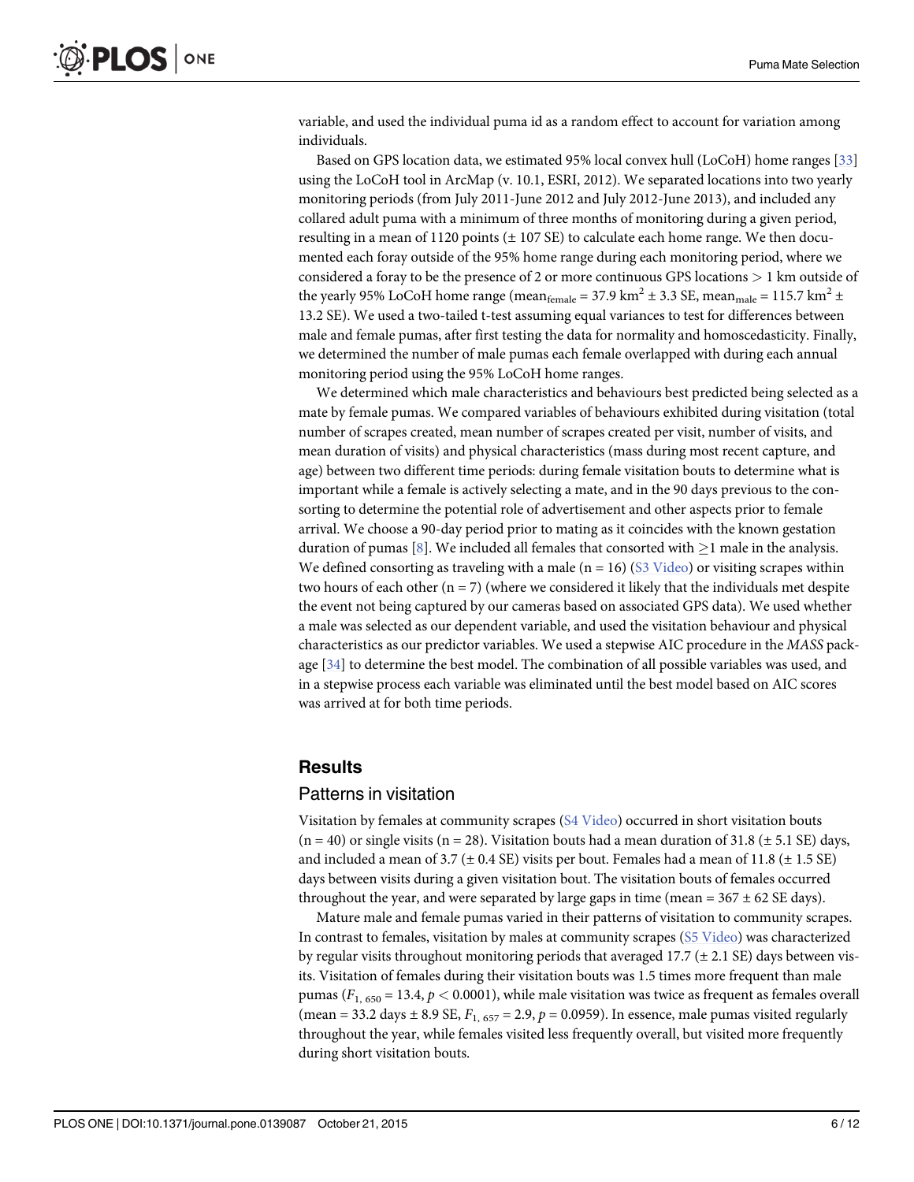<span id="page-5-0"></span>variable, and used the individual puma id as a random effect to account for variation among individuals.

Based on GPS location data, we estimated 95% local convex hull (LoCoH) home ranges [\[33\]](#page-11-0) using the LoCoH tool in ArcMap (v. 10.1, ESRI, 2012). We separated locations into two yearly monitoring periods (from July 2011-June 2012 and July 2012-June 2013), and included any collared adult puma with a minimum of three months of monitoring during a given period, resulting in a mean of 1120 points  $(\pm 107 \text{ SE})$  to calculate each home range. We then documented each foray outside of the 95% home range during each monitoring period, where we considered a foray to be the presence of 2 or more continuous GPS locations  $> 1$  km outside of the yearly 95% LoCoH home range (mean $_{\text{female}} = 37.9 \text{ km}^2 \pm 3.3 \text{ SE}$ , mean $_{\text{male}} = 115.7 \text{ km}^2 \pm 1.5$ 13.2 SE). We used a two-tailed t-test assuming equal variances to test for differences between male and female pumas, after first testing the data for normality and homoscedasticity. Finally, we determined the number of male pumas each female overlapped with during each annual monitoring period using the 95% LoCoH home ranges.

We determined which male characteristics and behaviours best predicted being selected as a mate by female pumas. We compared variables of behaviours exhibited during visitation (total number of scrapes created, mean number of scrapes created per visit, number of visits, and mean duration of visits) and physical characteristics (mass during most recent capture, and age) between two different time periods: during female visitation bouts to determine what is important while a female is actively selecting a mate, and in the 90 days previous to the consorting to determine the potential role of advertisement and other aspects prior to female arrival. We choose a 90-day period prior to mating as it coincides with the known gestation duration of pumas [\[8\]](#page-10-0). We included all females that consorted with  $\geq$  1 male in the analysis. We defined consorting as traveling with a male ( $n = 16$ ) ( $S3$  Video) or visiting scrapes within two hours of each other  $(n = 7)$  (where we considered it likely that the individuals met despite the event not being captured by our cameras based on associated GPS data). We used whether a male was selected as our dependent variable, and used the visitation behaviour and physical characteristics as our predictor variables. We used a stepwise AIC procedure in the MASS package [[34](#page-11-0)] to determine the best model. The combination of all possible variables was used, and in a stepwise process each variable was eliminated until the best model based on AIC scores was arrived at for both time periods.

#### **Results**

#### Patterns in visitation

Visitation by females at community scrapes [\(S4 Video\)](#page-9-0) occurred in short visitation bouts  $(n = 40)$  or single visits  $(n = 28)$ . Visitation bouts had a mean duration of 31.8 ( $\pm$  5.1 SE) days, and included a mean of 3.7 ( $\pm$  0.4 SE) visits per bout. Females had a mean of 11.8 ( $\pm$  1.5 SE) days between visits during a given visitation bout. The visitation bouts of females occurred throughout the year, and were separated by large gaps in time (mean  $= 367 \pm 62$  SE days).

Mature male and female pumas varied in their patterns of visitation to community scrapes. In contrast to females, visitation by males at community scrapes ([S5 Video](#page-9-0)) was characterized by regular visits throughout monitoring periods that averaged 17.7 ( $\pm$  2.1 SE) days between visits. Visitation of females during their visitation bouts was 1.5 times more frequent than male pumas ( $F_{1,650} = 13.4$ ,  $p < 0.0001$ ), while male visitation was twice as frequent as females overall (mean = 33.2 days  $\pm$  8.9 SE,  $F_{1,657}$  = 2.9,  $p$  = 0.0959). In essence, male pumas visited regularly throughout the year, while females visited less frequently overall, but visited more frequently during short visitation bouts.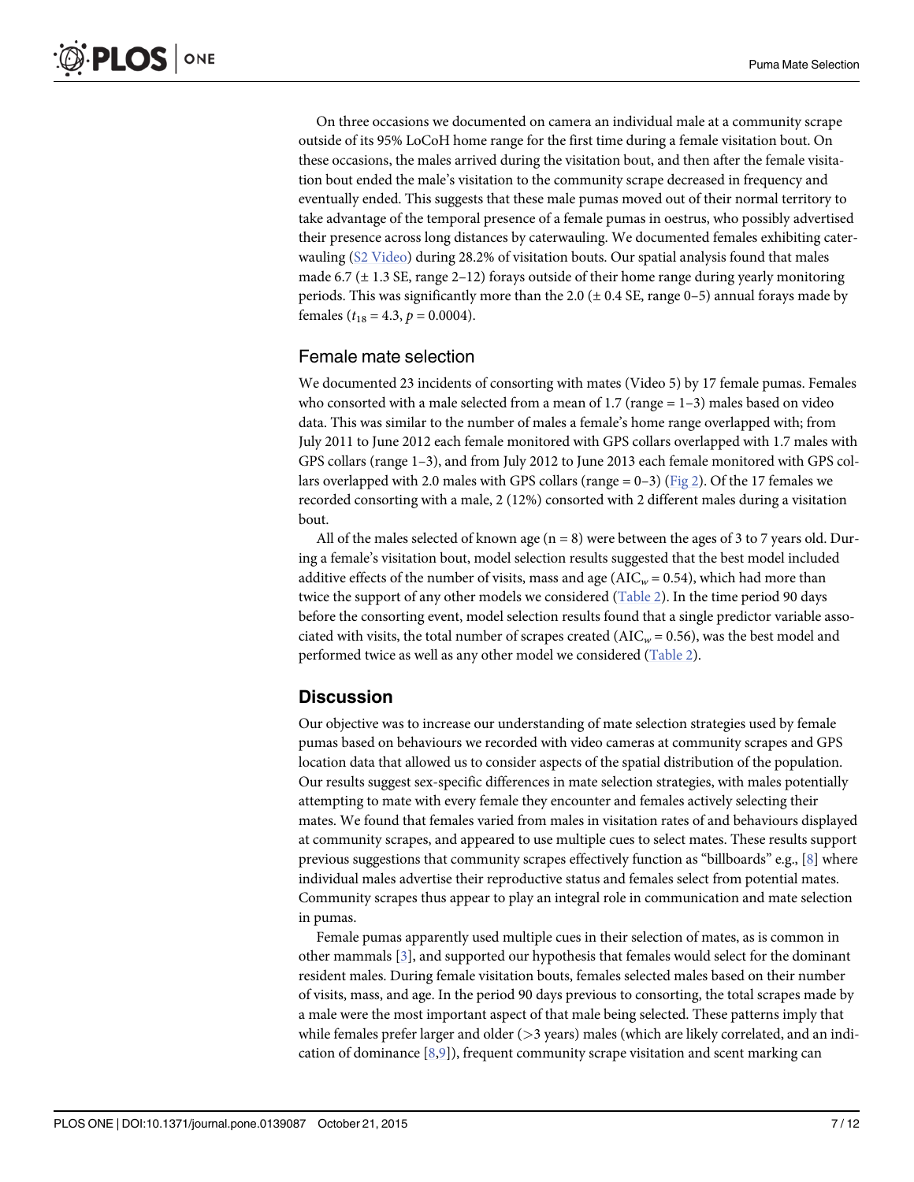<span id="page-6-0"></span>On three occasions we documented on camera an individual male at a community scrape outside of its 95% LoCoH home range for the first time during a female visitation bout. On these occasions, the males arrived during the visitation bout, and then after the female visitation bout ended the male's visitation to the community scrape decreased in frequency and eventually ended. This suggests that these male pumas moved out of their normal territory to take advantage of the temporal presence of a female pumas in oestrus, who possibly advertised their presence across long distances by caterwauling. We documented females exhibiting caterwauling [\(S2 Video\)](#page-9-0) during 28.2% of visitation bouts. Our spatial analysis found that males made 6.7 ( $\pm$  1.3 SE, range 2–12) forays outside of their home range during yearly monitoring periods. This was significantly more than the 2.0 ( $\pm$  0.4 SE, range 0–5) annual forays made by females ( $t_{18} = 4.3$ ,  $p = 0.0004$ ).

# Female mate selection

We documented 23 incidents of consorting with mates (Video 5) by 17 female pumas. Females who consorted with a male selected from a mean of 1.7 (range  $= 1-3$ ) males based on video data. This was similar to the number of males a female's home range overlapped with; from July 2011 to June 2012 each female monitored with GPS collars overlapped with 1.7 males with GPS collars (range 1–3), and from July 2012 to June 2013 each female monitored with GPS collars overlapped with 2.0 males with GPS collars (range =  $0-3$ ) ([Fig 2](#page-7-0)). Of the 17 females we recorded consorting with a male, 2 (12%) consorted with 2 different males during a visitation bout.

All of the males selected of known age  $(n = 8)$  were between the ages of 3 to 7 years old. During a female's visitation bout, model selection results suggested that the best model included additive effects of the number of visits, mass and age ( $AIC_w = 0.54$ ), which had more than twice the support of any other models we considered ([Table 2](#page-8-0)). In the time period 90 days before the consorting event, model selection results found that a single predictor variable associated with visits, the total number of scrapes created ( $AIC_w = 0.56$ ), was the best model and performed twice as well as any other model we considered [\(Table 2](#page-8-0)).

# **Discussion**

Our objective was to increase our understanding of mate selection strategies used by female pumas based on behaviours we recorded with video cameras at community scrapes and GPS location data that allowed us to consider aspects of the spatial distribution of the population. Our results suggest sex-specific differences in mate selection strategies, with males potentially attempting to mate with every female they encounter and females actively selecting their mates. We found that females varied from males in visitation rates of and behaviours displayed at community scrapes, and appeared to use multiple cues to select mates. These results support previous suggestions that community scrapes effectively function as "billboards" e.g., [\[8](#page-10-0)] where individual males advertise their reproductive status and females select from potential mates. Community scrapes thus appear to play an integral role in communication and mate selection in pumas.

Female pumas apparently used multiple cues in their selection of mates, as is common in other mammals [\[3](#page-10-0)], and supported our hypothesis that females would select for the dominant resident males. During female visitation bouts, females selected males based on their number of visits, mass, and age. In the period 90 days previous to consorting, the total scrapes made by a male were the most important aspect of that male being selected. These patterns imply that while females prefer larger and older (>3 years) males (which are likely correlated, and an indication of dominance  $[8,9]$ ), frequent community scrape visitation and scent marking can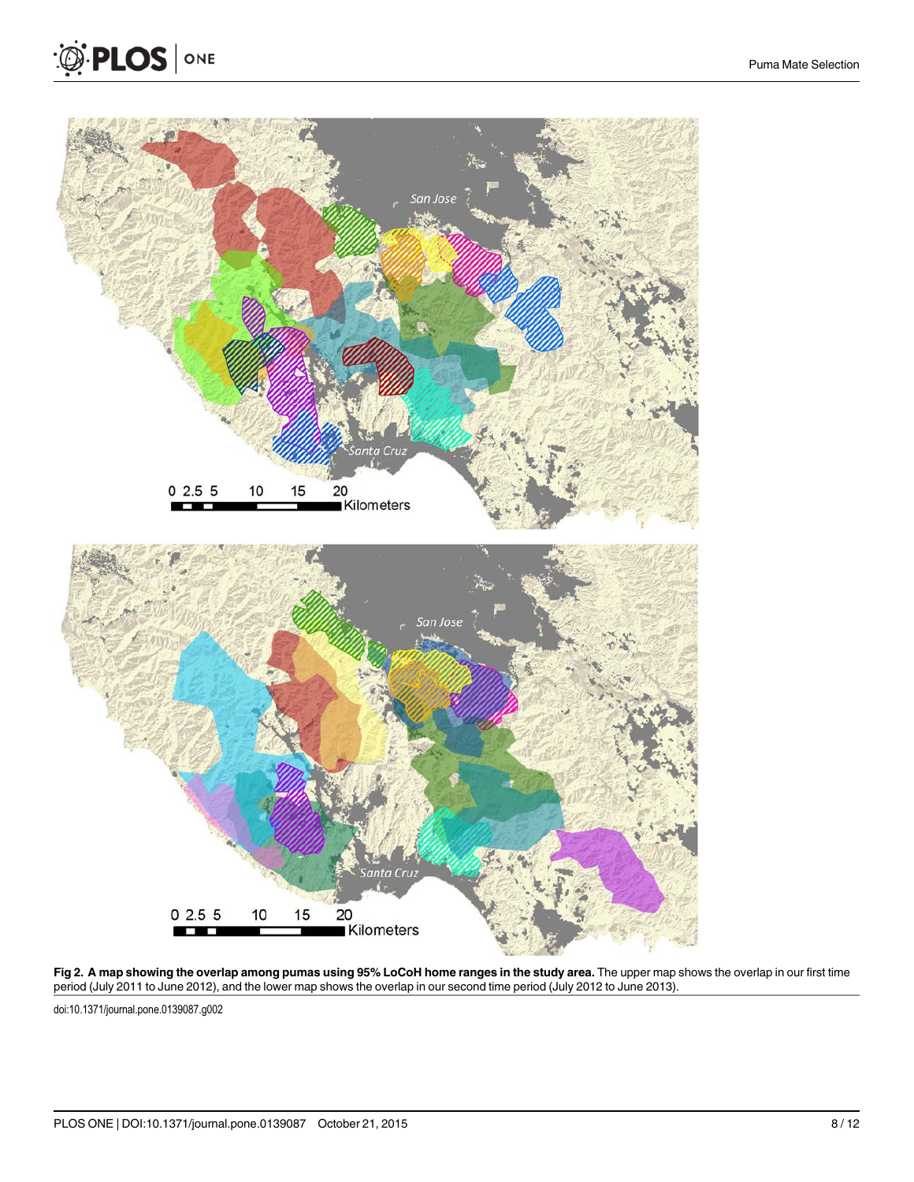<span id="page-7-0"></span>



[Fig 2. A](#page-6-0) map showing the overlap among pumas using 95% LoCoH home ranges in the study area. The upper map shows the overlap in our first time period (July 2011 to June 2012), and the lower map shows the overlap in our second time period (July 2012 to June 2013).

doi:10.1371/journal.pone.0139087.g002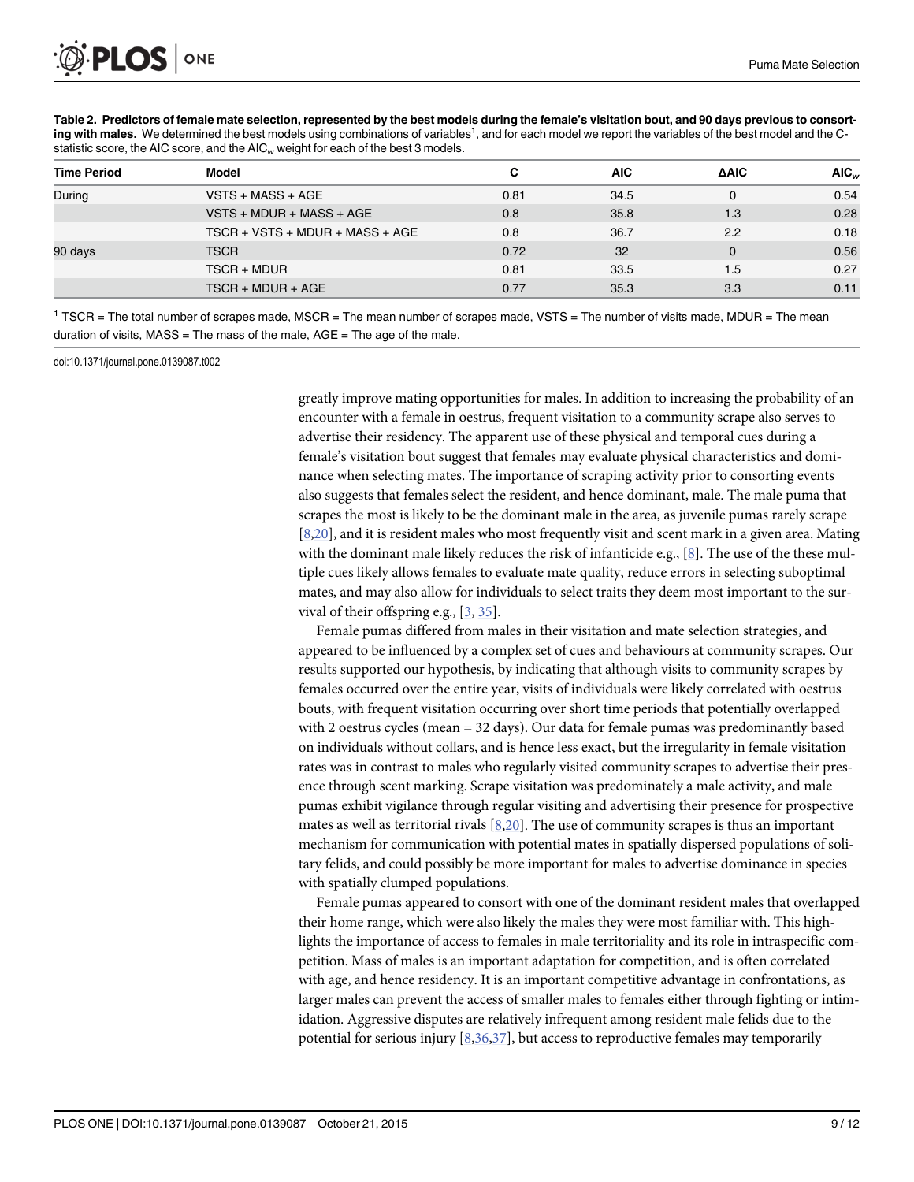<span id="page-8-0"></span>

| Table 2. Predictors of female mate selection, represented by the best models during the female's visitation bout, and 90 days previous to consort-                   |
|----------------------------------------------------------------------------------------------------------------------------------------------------------------------|
| ing with males. We determined the best models using combinations of variables <sup>1</sup> , and for each model we report the variables of the best model and the C- |
| statistic score, the AIC score, and the AIC $_{\omega}$ weight for each of the best 3 models.                                                                        |
|                                                                                                                                                                      |

| <b>Time Period</b> | Model                           | C    | <b>AIC</b> | <b>AAIC</b> | $AIC_w$ |
|--------------------|---------------------------------|------|------------|-------------|---------|
| During             | VSTS + MASS + AGE               | 0.81 | 34.5       |             | 0.54    |
|                    | $VSTS + MDUR + MASS + AGE$      | 0.8  | 35.8       | 1.3         | 0.28    |
|                    | TSCR + VSTS + MDUR + MASS + AGE | 0.8  | 36.7       | 2.2         | 0.18    |
| 90 days            | <b>TSCR</b>                     | 0.72 | 32         |             | 0.56    |
|                    | TSCR + MDUR                     | 0.81 | 33.5       | 1.5         | 0.27    |
|                    | TSCR + MDUR + AGE               | 0.77 | 35.3       | 3.3         | 0.11    |

 $1$  TSCR = The total number of scrapes made, MSCR = The mean number of scrapes made, VSTS = The number of visits made, MDUR = The mean duration of visits,  $MASS = The mass of the male,  $AGE = The age of the male$ .$ 

doi:10.1371/journal.pone.0139087.t002

greatly improve mating opportunities for males. In addition to increasing the probability of an encounter with a female in oestrus, frequent visitation to a community scrape also serves to advertise their residency. The apparent use of these physical and temporal cues during a female's visitation bout suggest that females may evaluate physical characteristics and dominance when selecting mates. The importance of scraping activity prior to consorting events also suggests that females select the resident, and hence dominant, male. The male puma that scrapes the most is likely to be the dominant male in the area, as juvenile pumas rarely scrape [\[8,20](#page-10-0)], and it is resident males who most frequently visit and scent mark in a given area. Mating with the dominant male likely reduces the risk of infanticide e.g.,  $[8]$  $[8]$ . The use of the these multiple cues likely allows females to evaluate mate quality, reduce errors in selecting suboptimal mates, and may also allow for individuals to select traits they deem most important to the survival of their offspring e.g., [\[3,](#page-10-0) [35\]](#page-11-0).

Female pumas differed from males in their visitation and mate selection strategies, and appeared to be influenced by a complex set of cues and behaviours at community scrapes. Our results supported our hypothesis, by indicating that although visits to community scrapes by females occurred over the entire year, visits of individuals were likely correlated with oestrus bouts, with frequent visitation occurring over short time periods that potentially overlapped with 2 oestrus cycles (mean = 32 days). Our data for female pumas was predominantly based on individuals without collars, and is hence less exact, but the irregularity in female visitation rates was in contrast to males who regularly visited community scrapes to advertise their presence through scent marking. Scrape visitation was predominately a male activity, and male pumas exhibit vigilance through regular visiting and advertising their presence for prospective mates as well as territorial rivals  $[8,20]$  $[8,20]$  $[8,20]$  $[8,20]$  $[8,20]$ . The use of community scrapes is thus an important mechanism for communication with potential mates in spatially dispersed populations of solitary felids, and could possibly be more important for males to advertise dominance in species with spatially clumped populations.

Female pumas appeared to consort with one of the dominant resident males that overlapped their home range, which were also likely the males they were most familiar with. This highlights the importance of access to females in male territoriality and its role in intraspecific competition. Mass of males is an important adaptation for competition, and is often correlated with age, and hence residency. It is an important competitive advantage in confrontations, as larger males can prevent the access of smaller males to females either through fighting or intimidation. Aggressive disputes are relatively infrequent among resident male felids due to the potential for serious injury  $[8,36,37]$  $[8,36,37]$  $[8,36,37]$ , but access to reproductive females may temporarily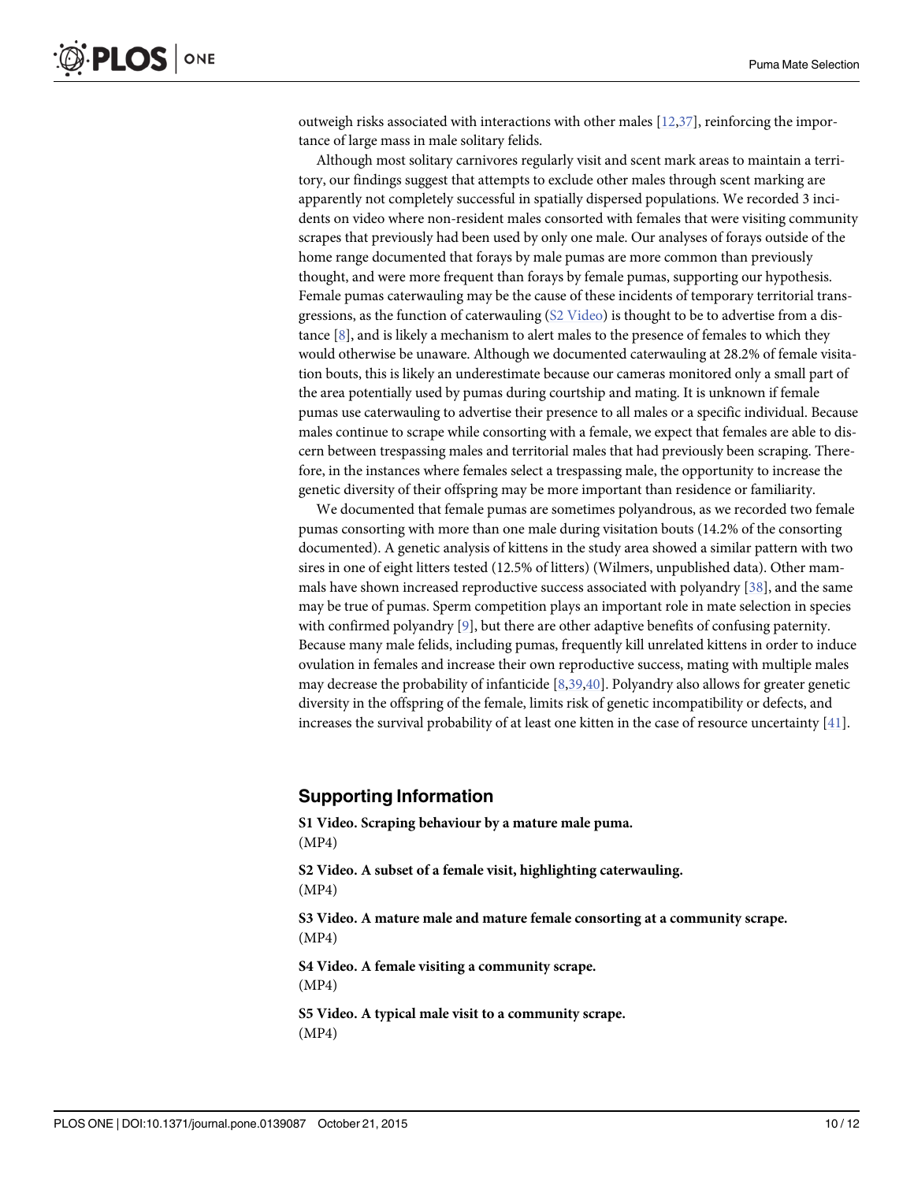<span id="page-9-0"></span>outweigh risks associated with interactions with other males  $[12,37]$  $[12,37]$  $[12,37]$ , reinforcing the importance of large mass in male solitary felids.

Although most solitary carnivores regularly visit and scent mark areas to maintain a territory, our findings suggest that attempts to exclude other males through scent marking are apparently not completely successful in spatially dispersed populations. We recorded 3 incidents on video where non-resident males consorted with females that were visiting community scrapes that previously had been used by only one male. Our analyses of forays outside of the home range documented that forays by male pumas are more common than previously thought, and were more frequent than forays by female pumas, supporting our hypothesis. Female pumas caterwauling may be the cause of these incidents of temporary territorial transgressions, as the function of caterwauling (S2 Video) is thought to be to advertise from a distance [[8\]](#page-10-0), and is likely a mechanism to alert males to the presence of females to which they would otherwise be unaware. Although we documented caterwauling at 28.2% of female visitation bouts, this is likely an underestimate because our cameras monitored only a small part of the area potentially used by pumas during courtship and mating. It is unknown if female pumas use caterwauling to advertise their presence to all males or a specific individual. Because males continue to scrape while consorting with a female, we expect that females are able to discern between trespassing males and territorial males that had previously been scraping. Therefore, in the instances where females select a trespassing male, the opportunity to increase the genetic diversity of their offspring may be more important than residence or familiarity.

We documented that female pumas are sometimes polyandrous, as we recorded two female pumas consorting with more than one male during visitation bouts (14.2% of the consorting documented). A genetic analysis of kittens in the study area showed a similar pattern with two sires in one of eight litters tested (12.5% of litters) (Wilmers, unpublished data). Other mammals have shown increased reproductive success associated with polyandry [[38](#page-11-0)], and the same may be true of pumas. Sperm competition plays an important role in mate selection in species with confirmed polyandry [[9](#page-10-0)], but there are other adaptive benefits of confusing paternity. Because many male felids, including pumas, frequently kill unrelated kittens in order to induce ovulation in females and increase their own reproductive success, mating with multiple males may decrease the probability of infanticide [[8,](#page-10-0)[39](#page-11-0),[40](#page-11-0)]. Polyandry also allows for greater genetic diversity in the offspring of the female, limits risk of genetic incompatibility or defects, and increases the survival probability of at least one kitten in the case of resource uncertainty [[41](#page-11-0)].

# Supporting Information

[S1 Video](http://www.plosone.org/article/fetchSingleRepresentation.action?uri=info:doi/10.1371/journal.pone.0139087.s001). Scraping behaviour by a mature male puma. (MP4)

[S2 Video](http://www.plosone.org/article/fetchSingleRepresentation.action?uri=info:doi/10.1371/journal.pone.0139087.s002). A subset of a female visit, highlighting caterwauling. (MP4)

[S3 Video](http://www.plosone.org/article/fetchSingleRepresentation.action?uri=info:doi/10.1371/journal.pone.0139087.s003). A mature male and mature female consorting at a community scrape. (MP4)

[S4 Video](http://www.plosone.org/article/fetchSingleRepresentation.action?uri=info:doi/10.1371/journal.pone.0139087.s004). A female visiting a community scrape. (MP4)

[S5 Video](http://www.plosone.org/article/fetchSingleRepresentation.action?uri=info:doi/10.1371/journal.pone.0139087.s005). A typical male visit to a community scrape. (MP4)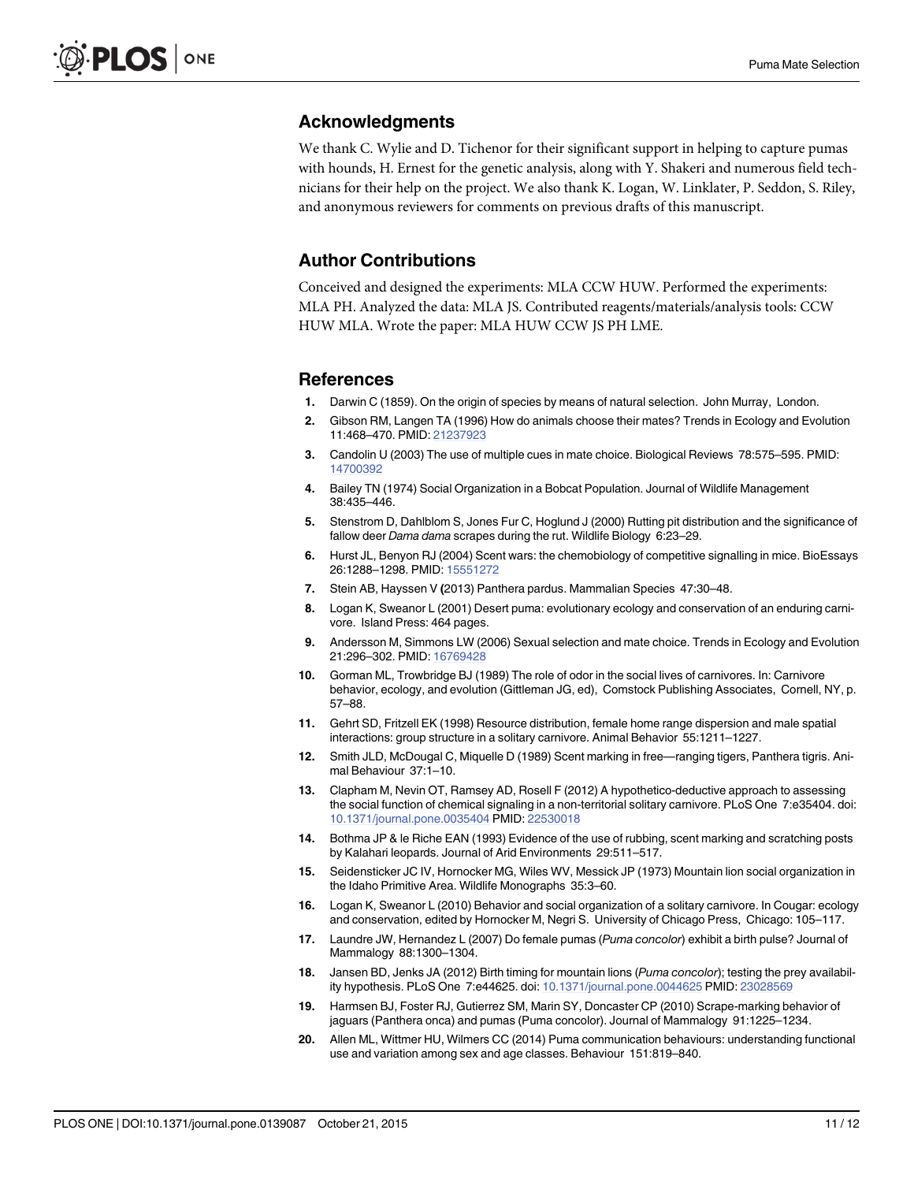# <span id="page-10-0"></span>Acknowledgments

We thank C. Wylie and D. Tichenor for their significant support in helping to capture pumas with hounds, H. Ernest for the genetic analysis, along with Y. Shakeri and numerous field technicians for their help on the project. We also thank K. Logan, W. Linklater, P. Seddon, S. Riley, and anonymous reviewers for comments on previous drafts of this manuscript.

# Author Contributions

Conceived and designed the experiments: MLA CCW HUW. Performed the experiments: MLA PH. Analyzed the data: MLA JS. Contributed reagents/materials/analysis tools: CCW HUW MLA. Wrote the paper: MLA HUW CCW JS PH LME.

#### References

- [1.](#page-0-0) Darwin C (1859). On the origin of species by means of natural selection. John Murray, London.
- [2.](#page-0-0) Gibson RM, Langen TA (1996) How do animals choose their mates? Trends in Ecology and Evolution 11:468–470. PMID: [21237923](http://www.ncbi.nlm.nih.gov/pubmed/21237923)
- [3.](#page-0-0) Candolin U (2003) The use of multiple cues in mate choice. Biological Reviews 78:575–595. PMID: [14700392](http://www.ncbi.nlm.nih.gov/pubmed/14700392)
- [4.](#page-0-0) Bailey TN (1974) Social Organization in a Bobcat Population. Journal of Wildlife Management 38:435–446.
- [5.](#page-0-0) Stenstrom D, Dahlblom S, Jones Fur C, Hoglund J (2000) Rutting pit distribution and the significance of fallow deer Dama dama scrapes during the rut. Wildlife Biology 6:23–29.
- [6.](#page-0-0) Hurst JL, Benyon RJ (2004) Scent wars: the chemobiology of competitive signalling in mice. BioEssays 26:1288–1298. PMID: [15551272](http://www.ncbi.nlm.nih.gov/pubmed/15551272)
- [7.](#page-0-0) Stein AB, Hayssen V (2013) Panthera pardus. Mammalian Species 47:30–48.
- [8.](#page-0-0) Logan K, Sweanor L (2001) Desert puma: evolutionary ecology and conservation of an enduring carnivore. Island Press: 464 pages.
- [9.](#page-0-0) Andersson M, Simmons LW (2006) Sexual selection and mate choice. Trends in Ecology and Evolution 21:296–302. PMID: [16769428](http://www.ncbi.nlm.nih.gov/pubmed/16769428)
- [10.](#page-1-0) Gorman ML, Trowbridge BJ (1989) The role of odor in the social lives of carnivores. In: Carnivore behavior, ecology, and evolution (Gittleman JG, ed), Comstock Publishing Associates, Cornell, NY, p. 57–88.
- [11.](#page-1-0) Gehrt SD, Fritzell EK (1998) Resource distribution, female home range dispersion and male spatial interactions: group structure in a solitary carnivore. Animal Behavior 55:1211–1227.
- [12.](#page-1-0) Smith JLD, McDougal C, Miquelle D (1989) Scent marking in free—ranging tigers, Panthera tigris. Animal Behaviour 37:1–10.
- [13.](#page-1-0) Clapham M, Nevin OT, Ramsey AD, Rosell F (2012) A hypothetico-deductive approach to assessing the social function of chemical signaling in a non-territorial solitary carnivore. PLoS One 7:e35404. doi: [10.1371/journal.pone.0035404](http://dx.doi.org/10.1371/journal.pone.0035404) PMID: [22530018](http://www.ncbi.nlm.nih.gov/pubmed/22530018)
- [14.](#page-1-0) Bothma JP & le Riche EAN (1993) Evidence of the use of rubbing, scent marking and scratching posts by Kalahari leopards. Journal of Arid Environments 29:511–517.
- [15.](#page-1-0) Seidensticker JC IV, Hornocker MG, Wiles WV, Messick JP (1973) Mountain lion social organization in the Idaho Primitive Area. Wildlife Monographs 35:3–60.
- [16.](#page-1-0) Logan K, Sweanor L (2010) Behavior and social organization of a solitary carnivore. In Cougar: ecology and conservation, edited by Hornocker M, Negri S. University of Chicago Press, Chicago: 105–117.
- [17.](#page-1-0) Laundre JW, Hernandez L (2007) Do female pumas (Puma concolor) exhibit a birth pulse? Journal of Mammalogy 88:1300–1304.
- [18.](#page-1-0) Jansen BD, Jenks JA (2012) Birth timing for mountain lions (Puma concolor); testing the prey availabil-ity hypothesis. PLoS One 7:e44625. doi: [10.1371/journal.pone.0044625](http://dx.doi.org/10.1371/journal.pone.0044625) PMID: [23028569](http://www.ncbi.nlm.nih.gov/pubmed/23028569)
- [19.](#page-1-0) Harmsen BJ, Foster RJ, Gutierrez SM, Marin SY, Doncaster CP (2010) Scrape-marking behavior of jaguars (Panthera onca) and pumas (Puma concolor). Journal of Mammalogy 91:1225–1234.
- [20.](#page-1-0) Allen ML, Wittmer HU, Wilmers CC (2014) Puma communication behaviours: understanding functional use and variation among sex and age classes. Behaviour 151:819–840.